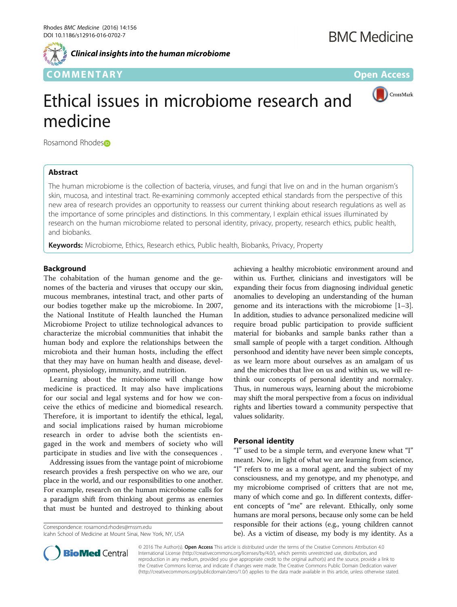*Clinical insights into the human microbiome*



CrossMark

# Ethical issues in microbiome research and medicine

Ro[s](http://orcid.org/0000-0002-4621-0818)amond Rhodes<sup>®</sup>

# Abstract

The human microbiome is the collection of bacteria, viruses, and fungi that live on and in the human organism's skin, mucosa, and intestinal tract. Re-examining commonly accepted ethical standards from the perspective of this new area of research provides an opportunity to reassess our current thinking about research regulations as well as the importance of some principles and distinctions. In this commentary, I explain ethical issues illuminated by research on the human microbiome related to personal identity, privacy, property, research ethics, public health, and biobanks.

Keywords: Microbiome, Ethics, Research ethics, Public health, Biobanks, Privacy, Property

# **Background**

The cohabitation of the human genome and the genomes of the bacteria and viruses that occupy our skin, mucous membranes, intestinal tract, and other parts of our bodies together make up the microbiome. In 2007, the National Institute of Health launched the Human Microbiome Project to utilize technological advances to characterize the microbial communities that inhabit the human body and explore the relationships between the microbiota and their human hosts, including the effect that they may have on human health and disease, development, physiology, immunity, and nutrition.

Learning about the microbiome will change how medicine is practiced. It may also have implications for our social and legal systems and for how we conceive the ethics of medicine and biomedical research. Therefore, it is important to identify the ethical, legal, and social implications raised by human microbiome research in order to advise both the scientists engaged in the work and members of society who will participate in studies and live with the consequences .

Addressing issues from the vantage point of microbiome research provides a fresh perspective on who we are, our place in the world, and our responsibilities to one another. For example, research on the human microbiome calls for a paradigm shift from thinking about germs as enemies that must be hunted and destroyed to thinking about

Correspondence: [rosamond.rhodes@mssm.edu](mailto:rosamond.rhodes@mssm.edu) Icahn School of Medicine at Mount Sinai, New York, NY, USA achieving a healthy microbiotic environment around and within us. Further, clinicians and investigators will be expanding their focus from diagnosing individual genetic anomalies to developing an understanding of the human genome and its interactions with the microbiome [[1](#page-2-0)–[3](#page-2-0)]. In addition, studies to advance personalized medicine will require broad public participation to provide sufficient material for biobanks and sample banks rather than a small sample of people with a target condition. Although personhood and identity have never been simple concepts, as we learn more about ourselves as an amalgam of us and the microbes that live on us and within us, we will rethink our concepts of personal identity and normalcy. Thus, in numerous ways, learning about the microbiome may shift the moral perspective from a focus on individual rights and liberties toward a community perspective that values solidarity.

# Personal identity

"I" used to be a simple term, and everyone knew what "I" meant. Now, in light of what we are learning from science, "I" refers to me as a moral agent, and the subject of my consciousness, and my genotype, and my phenotype, and my microbiome comprised of critters that are not me, many of which come and go. In different contexts, different concepts of "me" are relevant. Ethically, only some humans are moral persons, because only some can be held responsible for their actions (e.g., young children cannot be). As a victim of disease, my body is my identity. As a



© 2016 The Author(s). Open Access This article is distributed under the terms of the Creative Commons Attribution 4.0 International License [\(http://creativecommons.org/licenses/by/4.0/](http://creativecommons.org/licenses/by/4.0/)), which permits unrestricted use, distribution, and reproduction in any medium, provided you give appropriate credit to the original author(s) and the source, provide a link to the Creative Commons license, and indicate if changes were made. The Creative Commons Public Domain Dedication waiver [\(http://creativecommons.org/publicdomain/zero/1.0/](http://creativecommons.org/publicdomain/zero/1.0/)) applies to the data made available in this article, unless otherwise stated.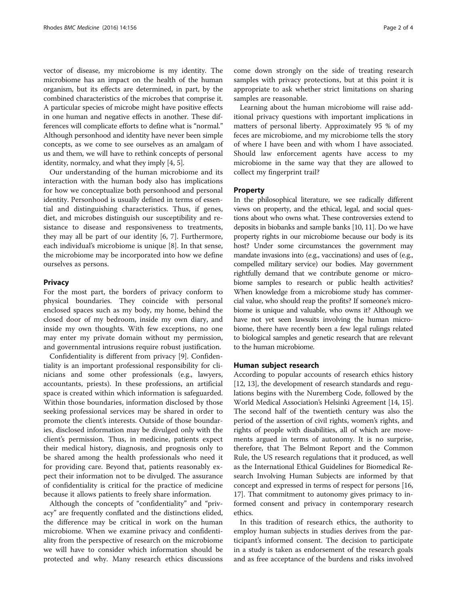vector of disease, my microbiome is my identity. The microbiome has an impact on the health of the human organism, but its effects are determined, in part, by the combined characteristics of the microbes that comprise it. A particular species of microbe might have positive effects in one human and negative effects in another. These differences will complicate efforts to define what is "normal." Although personhood and identity have never been simple concepts, as we come to see ourselves as an amalgam of us and them, we will have to rethink concepts of personal identity, normalcy, and what they imply [[4,](#page-2-0) [5](#page-3-0)].

Our understanding of the human microbiome and its interaction with the human body also has implications for how we conceptualize both personhood and personal identity. Personhood is usually defined in terms of essential and distinguishing characteristics. Thus, if genes, diet, and microbes distinguish our susceptibility and resistance to disease and responsiveness to treatments, they may all be part of our identity [[6, 7](#page-3-0)]. Furthermore, each individual's microbiome is unique [[8](#page-3-0)]. In that sense, the microbiome may be incorporated into how we define ourselves as persons.

## **Privacy**

For the most part, the borders of privacy conform to physical boundaries. They coincide with personal enclosed spaces such as my body, my home, behind the closed door of my bedroom, inside my own diary, and inside my own thoughts. With few exceptions, no one may enter my private domain without my permission, and governmental intrusions require robust justification.

Confidentiality is different from privacy [[9\]](#page-3-0). Confidentiality is an important professional responsibility for clinicians and some other professionals (e.g., lawyers, accountants, priests). In these professions, an artificial space is created within which information is safeguarded. Within those boundaries, information disclosed by those seeking professional services may be shared in order to promote the client's interests. Outside of those boundaries, disclosed information may be divulged only with the client's permission. Thus, in medicine, patients expect their medical history, diagnosis, and prognosis only to be shared among the health professionals who need it for providing care. Beyond that, patients reasonably expect their information not to be divulged. The assurance of confidentiality is critical for the practice of medicine because it allows patients to freely share information.

Although the concepts of "confidentiality" and "privacy" are frequently conflated and the distinctions elided, the difference may be critical in work on the human microbiome. When we examine privacy and confidentiality from the perspective of research on the microbiome we will have to consider which information should be protected and why. Many research ethics discussions

come down strongly on the side of treating research samples with privacy protections, but at this point it is appropriate to ask whether strict limitations on sharing samples are reasonable.

Learning about the human microbiome will raise additional privacy questions with important implications in matters of personal liberty. Approximately 95 % of my feces are microbiome, and my microbiome tells the story of where I have been and with whom I have associated. Should law enforcement agents have access to my microbiome in the same way that they are allowed to collect my fingerprint trail?

## Property

In the philosophical literature, we see radically different views on property, and the ethical, legal, and social questions about who owns what. These controversies extend to deposits in biobanks and sample banks [\[10](#page-3-0), [11](#page-3-0)]. Do we have property rights in our microbiome because our body is its host? Under some circumstances the government may mandate invasions into (e.g., vaccinations) and uses of (e.g., compelled military service) our bodies. May government rightfully demand that we contribute genome or microbiome samples to research or public health activities? When knowledge from a microbiome study has commercial value, who should reap the profits? If someone's microbiome is unique and valuable, who owns it? Although we have not yet seen lawsuits involving the human microbiome, there have recently been a few legal rulings related to biological samples and genetic research that are relevant to the human microbiome.

### Human subject research

According to popular accounts of research ethics history [[12](#page-3-0), [13](#page-3-0)], the development of research standards and regulations begins with the Nuremberg Code, followed by the World Medical Association's Helsinki Agreement [\[14, 15](#page-3-0)]. The second half of the twentieth century was also the period of the assertion of civil rights, women's rights, and rights of people with disabilities, all of which are movements argued in terms of autonomy. It is no surprise, therefore, that The Belmont Report and the Common Rule, the US research regulations that it produced, as well as the International Ethical Guidelines for Biomedical Research Involving Human Subjects are informed by that concept and expressed in terms of respect for persons [[16](#page-3-0), [17](#page-3-0)]. That commitment to autonomy gives primacy to informed consent and privacy in contemporary research ethics.

In this tradition of research ethics, the authority to employ human subjects in studies derives from the participant's informed consent. The decision to participate in a study is taken as endorsement of the research goals and as free acceptance of the burdens and risks involved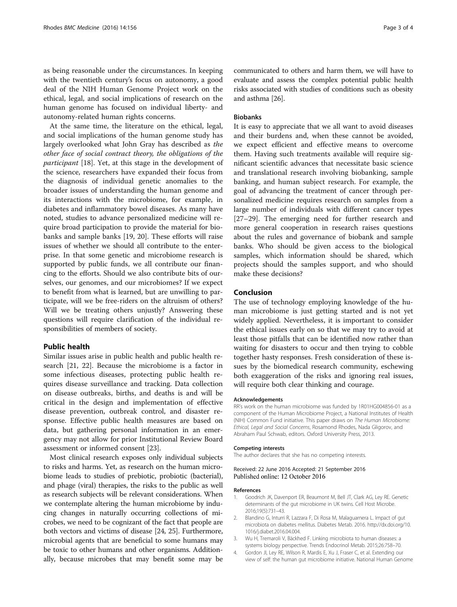<span id="page-2-0"></span>as being reasonable under the circumstances. In keeping with the twentieth century's focus on autonomy, a good deal of the NIH Human Genome Project work on the ethical, legal, and social implications of research on the human genome has focused on individual liberty- and autonomy-related human rights concerns.

At the same time, the literature on the ethical, legal, and social implications of the human genome study has largely overlooked what John Gray has described as the other face of social contract theory, the obligations of the participant  $[18]$  $[18]$  $[18]$ . Yet, at this stage in the development of the science researchers have expanded their focus from the science, researchers have expanded their focus from the diagnosis of individual genetic anomalies to the broader issues of understanding the human genome and its interactions with the microbiome, for example, in diabetes and inflammatory bowel diseases. As many have noted, studies to advance personalized medicine will require broad participation to provide the material for biobanks and sample banks [[19, 20\]](#page-3-0). These efforts will raise issues of whether we should all contribute to the enterprise. In that some genetic and microbiome research is supported by public funds, we all contribute our financing to the efforts. Should we also contribute bits of ourselves, our genomes, and our microbiomes? If we expect to benefit from what is learned, but are unwilling to participate, will we be free-riders on the altruism of others? Will we be treating others unjustly? Answering these questions will require clarification of the individual responsibilities of members of society.

# Public health

Similar issues arise in public health and public health research [\[21](#page-3-0), [22\]](#page-3-0). Because the microbiome is a factor in some infectious diseases, protecting public health requires disease surveillance and tracking. Data collection on disease outbreaks, births, and deaths is and will be critical in the design and implementation of effective disease prevention, outbreak control, and disaster response. Effective public health measures are based on data, but gathering personal information in an emergency may not allow for prior Institutional Review Board assessment or informed consent [[23\]](#page-3-0).

Most clinical research exposes only individual subjects to risks and harms. Yet, as research on the human microbiome leads to studies of prebiotic, probiotic (bacterial), and phage (viral) therapies, the risks to the public as well as research subjects will be relevant considerations. When we contemplate altering the human microbiome by inducing changes in naturally occurring collections of microbes, we need to be cognizant of the fact that people are both vectors and victims of disease [[24](#page-3-0), [25](#page-3-0)]. Furthermore, microbial agents that are beneficial to some humans may be toxic to other humans and other organisms. Additionally, because microbes that may benefit some may be

communicated to others and harm them, we will have to evaluate and assess the complex potential public health risks associated with studies of conditions such as obesity and asthma [[26](#page-3-0)].

## Biobanks

It is easy to appreciate that we all want to avoid diseases and their burdens and, when these cannot be avoided, we expect efficient and effective means to overcome them. Having such treatments available will require significant scientific advances that necessitate basic science and translational research involving biobanking, sample banking, and human subject research. For example, the goal of advancing the treatment of cancer through personalized medicine requires research on samples from a large number of individuals with different cancer types [[27](#page-3-0)–[29](#page-3-0)]. The emerging need for further research and more general cooperation in research raises questions about the rules and governance of biobank and sample banks. Who should be given access to the biological samples, which information should be shared, which projects should the samples support, and who should make these decisions?

# Conclusion

The use of technology employing knowledge of the human microbiome is just getting started and is not yet widely applied. Nevertheless, it is important to consider the ethical issues early on so that we may try to avoid at least those pitfalls that can be identified now rather than waiting for disasters to occur and then trying to cobble together hasty responses. Fresh consideration of these issues by the biomedical research community, eschewing both exaggeration of the risks and ignoring real issues, will require both clear thinking and courage.

#### Acknowledgements

RR's work on the human microbiome was funded by 1R01HG004856-01 as a component of the Human Microbiome Project, a National Institutes of Health (NIH) Common Fund initiative. This paper draws on The Human Microbiome: Ethical, Legal and Social Concerns, Rosamond Rhodes, Nada Gligorov, and Abraham Paul Schwab, editors. Oxford University Press, 2013.

#### Competing interests

The author declares that she has no competing interests.

#### Received: 22 June 2016 Accepted: 21 September 2016 Published online: 12 October 2016

#### References

- 1. Goodrich JK, Davenport ER, Beaumont M, Bell JT, Clark AG, Ley RE. Genetic determinants of the gut microbiome in UK twins. Cell Host Microbe. 2016;19(5):731–43.
- 2. Blandino G, Inturri R, Lazzara F, Di Rosa M, Malaguarnera L. Impact of gut microbiota on diabetes mellitus. Diabetes Metab. 2016. [http://dx.doi.org/10.](http://dx.doi.org/10.1016/j.diabet.2016.04.004) [1016/j.diabet.2016.04.004.](http://dx.doi.org/10.1016/j.diabet.2016.04.004)
- 3. Wu H, Tremaroli V, Bäckhed F. Linking microbiota to human diseases: a systems biology perspective. Trends Endocrinol Metab. 2015;26:758–70.
- 4. Gordon JI, Ley RE, Wilson R, Mardis E, Xu J, Fraser C, et al. Extending our view of self: the human gut microbiome initiative. National Human Genome